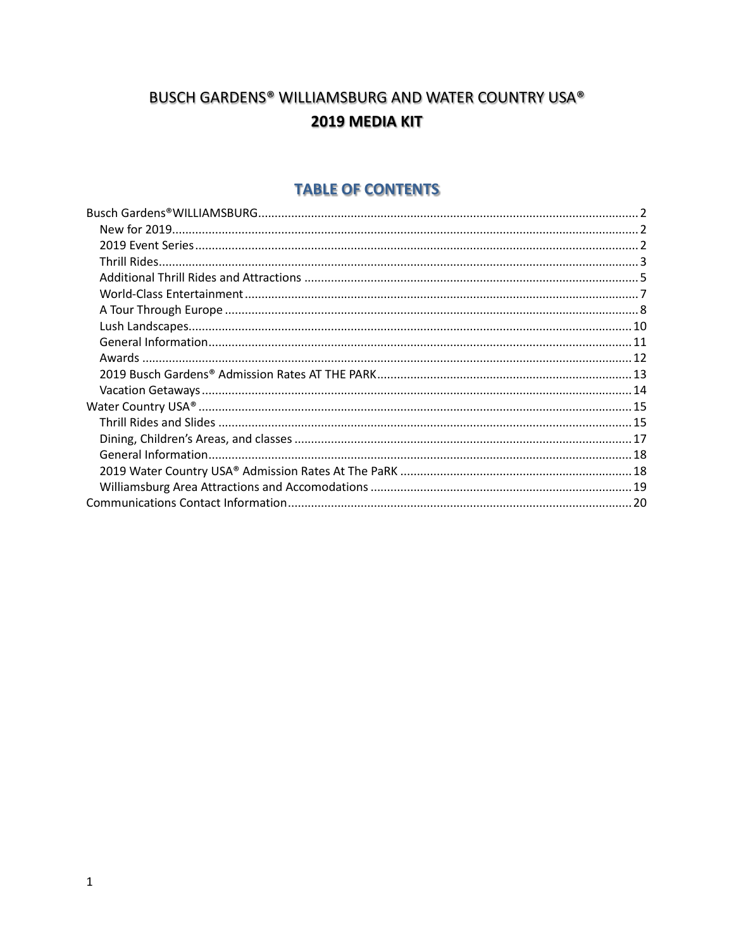# BUSCH GARDENS® WILLIAMSBURG AND WATER COUNTRY USA® 2019 MEDIA KIT

## **TABLE OF CONTENTS**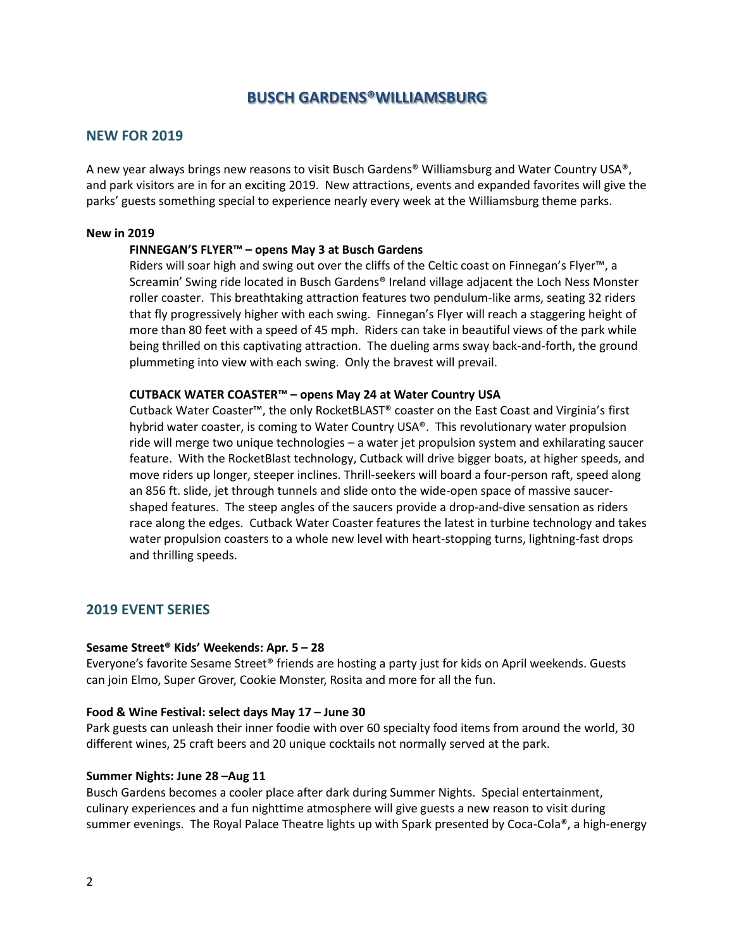## **BUSCH GARDENS®WILLIAMSBURG**

### <span id="page-1-1"></span><span id="page-1-0"></span>**NEW FOR 2019**

A new year always brings new reasons to visit Busch Gardens® Williamsburg and Water Country USA®, and park visitors are in for an exciting 2019. New attractions, events and expanded favorites will give the parks' guests something special to experience nearly every week at the Williamsburg theme parks.

#### **New in 2019**

#### **FINNEGAN'S FLYER™ – opens May 3 at Busch Gardens**

Riders will soar high and swing out over the cliffs of the Celtic coast on Finnegan's Flyer™, a Screamin' Swing ride located in Busch Gardens® Ireland village adjacent the Loch Ness Monster roller coaster. This breathtaking attraction features two pendulum-like arms, seating 32 riders that fly progressively higher with each swing. Finnegan's Flyer will reach a staggering height of more than 80 feet with a speed of 45 mph. Riders can take in beautiful views of the park while being thrilled on this captivating attraction. The dueling arms sway back-and-forth, the ground plummeting into view with each swing. Only the bravest will prevail.

#### **CUTBACK WATER COASTER™ – opens May 24 at Water Country USA**

Cutback Water Coaster™, the only RocketBLAST® coaster on the East Coast and Virginia's first hybrid water coaster, is coming to Water Country USA®. This revolutionary water propulsion ride will merge two unique technologies – a water jet propulsion system and exhilarating saucer feature. With the RocketBlast technology, Cutback will drive bigger boats, at higher speeds, and move riders up longer, steeper inclines. Thrill-seekers will board a four-person raft, speed along an 856 ft. slide, jet through tunnels and slide onto the wide-open space of massive saucershaped features. The steep angles of the saucers provide a drop-and-dive sensation as riders race along the edges. Cutback Water Coaster features the latest in turbine technology and takes water propulsion coasters to a whole new level with heart-stopping turns, lightning-fast drops and thrilling speeds.

#### <span id="page-1-2"></span>**2019 EVENT SERIES**

#### **Sesame Street® Kids' Weekends: Apr. 5 – 28**

Everyone's favorite Sesame Street® friends are hosting a party just for kids on April weekends. Guests can join Elmo, Super Grover, Cookie Monster, Rosita and more for all the fun.

#### **Food & Wine Festival: select days May 17 – June 30**

Park guests can unleash their inner foodie with over 60 specialty food items from around the world, 30 different wines, 25 craft beers and 20 unique cocktails not normally served at the park.

#### **Summer Nights: June 28 –Aug 11**

Busch Gardens becomes a cooler place after dark during Summer Nights. Special entertainment, culinary experiences and a fun nighttime atmosphere will give guests a new reason to visit during summer evenings. The Royal Palace Theatre lights up with Spark presented by Coca-Cola®, a high-energy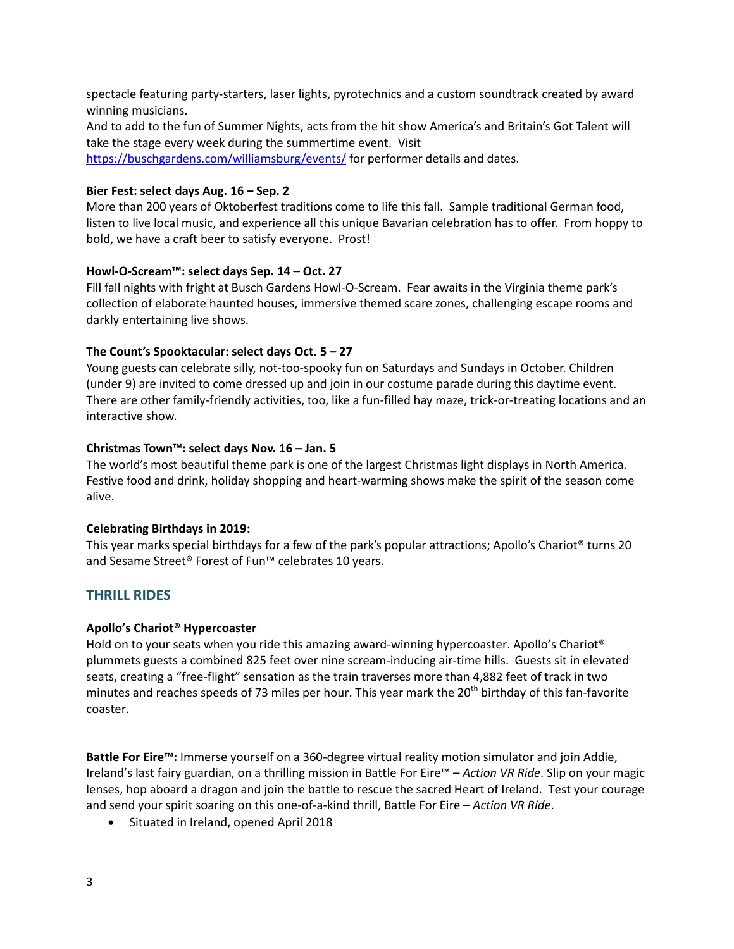spectacle featuring party-starters, laser lights, pyrotechnics and a custom soundtrack created by award winning musicians.

And to add to the fun of Summer Nights, acts from the hit show America's and Britain's Got Talent will take the stage every week during the summertime event. Visit

<https://buschgardens.com/williamsburg/events/> for performer details and dates.

## **Bier Fest: select days Aug. 16 – Sep. 2**

More than 200 years of Oktoberfest traditions come to life this fall. Sample traditional German food, listen to live local music, and experience all this unique Bavarian celebration has to offer. From hoppy to bold, we have a craft beer to satisfy everyone. Prost!

## **Howl-O-Scream™: select days Sep. 14 – Oct. 27**

Fill fall nights with fright at Busch Gardens Howl-O-Scream. Fear awaits in the Virginia theme park's collection of elaborate haunted houses, immersive themed scare zones, challenging escape rooms and darkly entertaining live shows.

## **The Count's Spooktacular: select days Oct. 5 – 27**

Young guests can celebrate silly, not-too-spooky fun on Saturdays and Sundays in October. Children (under 9) are invited to come dressed up and join in our costume parade during this daytime event. There are other family-friendly activities, too, like a fun-filled hay maze, trick-or-treating locations and an interactive show.

## **Christmas Town™: select days Nov. 16 – Jan. 5**

The world's most beautiful theme park is one of the largest Christmas light displays in North America. Festive food and drink, holiday shopping and heart-warming shows make the spirit of the season come alive.

## **Celebrating Birthdays in 2019:**

This year marks special birthdays for a few of the park's popular attractions; Apollo's Chariot® turns 20 and Sesame Street® Forest of Fun™ celebrates 10 years.

## <span id="page-2-0"></span>**THRILL RIDES**

## **Apollo's Chariot® Hypercoaster**

Hold on to your seats when you ride this amazing award-winning hypercoaster. Apollo's Chariot® plummets guests a combined 825 feet over nine scream-inducing air-time hills. Guests sit in elevated seats, creating a "free-flight" sensation as the train traverses more than 4,882 feet of track in two minutes and reaches speeds of 73 miles per hour. This year mark the  $20<sup>th</sup>$  birthday of this fan-favorite coaster.

**Battle For Eire™:** Immerse yourself on a 360-degree virtual reality motion simulator and join Addie, Ireland's last fairy guardian, on a thrilling mission in Battle For Eire™ – *Action VR Ride*. Slip on your magic lenses, hop aboard a dragon and join the battle to rescue the sacred Heart of Ireland. Test your courage and send your spirit soaring on this one-of-a-kind thrill, Battle For Eire – *Action VR Ride*.

Situated in Ireland, opened April 2018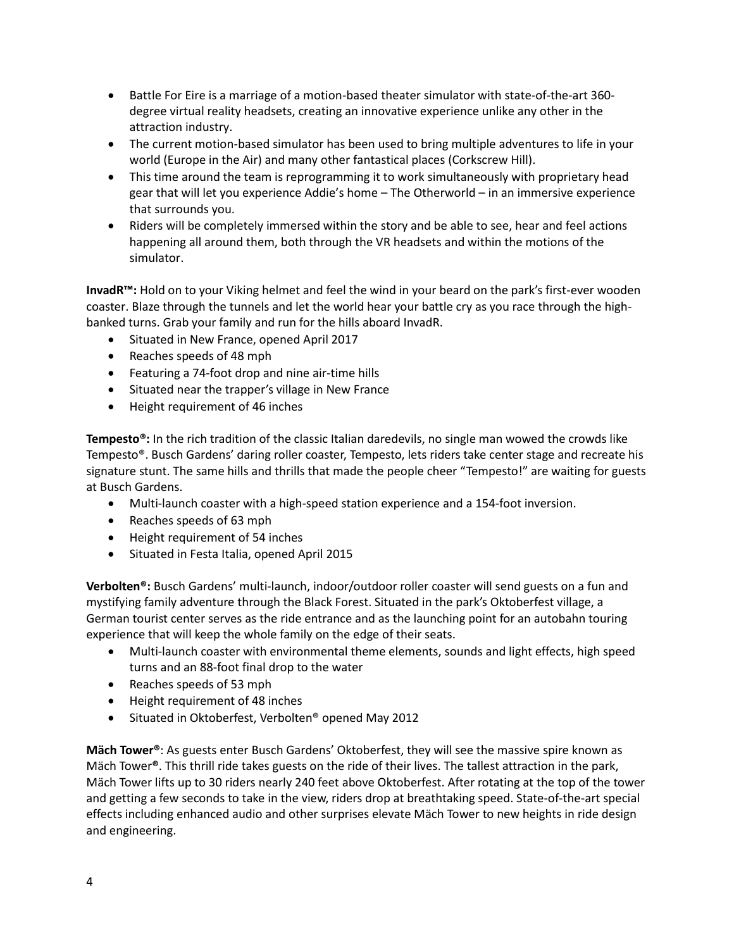- Battle For Eire is a marriage of a motion-based theater simulator with state-of-the-art 360 degree virtual reality headsets, creating an innovative experience unlike any other in the attraction industry.
- The current motion-based simulator has been used to bring multiple adventures to life in your world (Europe in the Air) and many other fantastical places (Corkscrew Hill).
- This time around the team is reprogramming it to work simultaneously with proprietary head gear that will let you experience Addie's home – The Otherworld – in an immersive experience that surrounds you.
- Riders will be completely immersed within the story and be able to see, hear and feel actions happening all around them, both through the VR headsets and within the motions of the simulator.

**InvadR™:** Hold on to your Viking helmet and feel the wind in your beard on the park's first-ever wooden coaster. Blaze through the tunnels and let the world hear your battle cry as you race through the highbanked turns. Grab your family and run for the hills aboard InvadR.

- **•** Situated in New France, opened April 2017
- Reaches speeds of 48 mph
- Featuring a 74-foot drop and nine air-time hills
- Situated near the trapper's village in New France
- Height requirement of 46 inches

**Tempesto®:** In the rich tradition of the classic Italian daredevils, no single man wowed the crowds like Tempesto®. Busch Gardens' daring roller coaster, Tempesto, lets riders take center stage and recreate his signature stunt. The same hills and thrills that made the people cheer "Tempesto!" are waiting for guests at Busch Gardens.

- Multi-launch coaster with a high-speed station experience and a 154-foot inversion.
- Reaches speeds of 63 mph
- Height requirement of 54 inches
- Situated in Festa Italia, opened April 2015

**Verbolten®:** Busch Gardens' multi-launch, indoor/outdoor roller coaster will send guests on a fun and mystifying family adventure through the Black Forest. Situated in the park's Oktoberfest village, a German tourist center serves as the ride entrance and as the launching point for an autobahn touring experience that will keep the whole family on the edge of their seats.

- Multi-launch coaster with environmental theme elements, sounds and light effects, high speed turns and an 88-foot final drop to the water
- Reaches speeds of 53 mph
- Height requirement of 48 inches
- Situated in Oktoberfest, Verbolten® opened May 2012

**Mäch Tower®**: As guests enter Busch Gardens' Oktoberfest, they will see the massive spire known as Mäch Tower**®**. This thrill ride takes guests on the ride of their lives. The tallest attraction in the park, Mäch Tower lifts up to 30 riders nearly 240 feet above Oktoberfest. After rotating at the top of the tower and getting a few seconds to take in the view, riders drop at breathtaking speed. State-of-the-art special effects including enhanced audio and other surprises elevate Mäch Tower to new heights in ride design and engineering.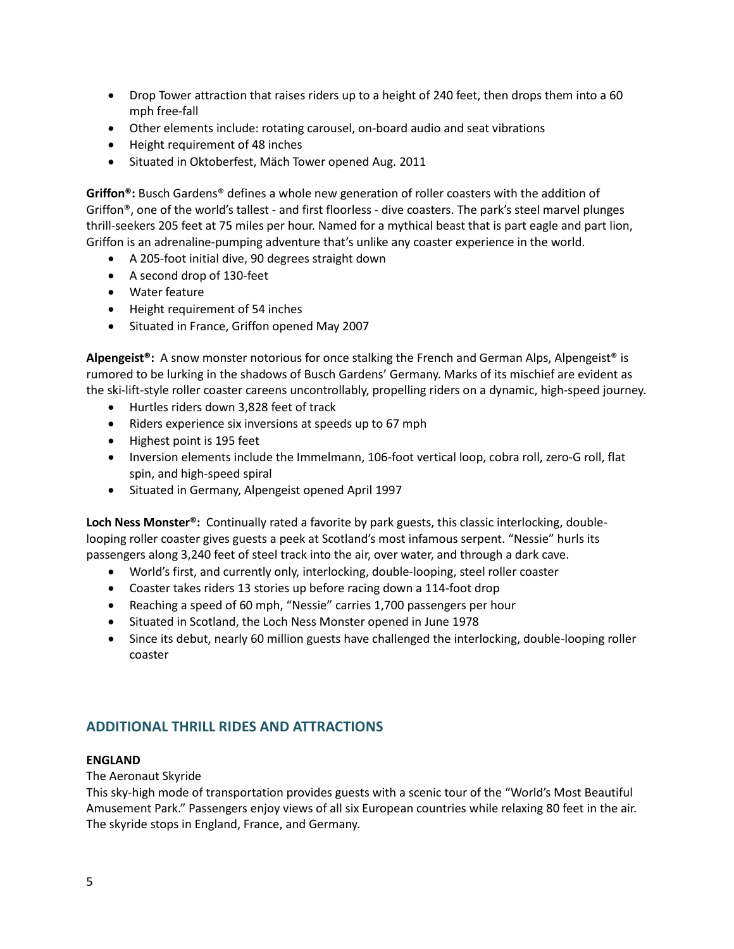- Drop Tower attraction that raises riders up to a height of 240 feet, then drops them into a 60 mph free-fall
- Other elements include: rotating carousel, on-board audio and seat vibrations
- Height requirement of 48 inches
- Situated in Oktoberfest, Mäch Tower opened Aug. 2011

**Griffon®:** Busch Gardens® defines a whole new generation of roller coasters with the addition of Griffon®, one of the world's tallest - and first floorless - dive coasters. The park's steel marvel plunges thrill-seekers 205 feet at 75 miles per hour. Named for a mythical beast that is part eagle and part lion, Griffon is an adrenaline-pumping adventure that's unlike any coaster experience in the world.

- A 205-foot initial dive, 90 degrees straight down
- A second drop of 130-feet
- Water feature
- Height requirement of 54 inches
- Situated in France, Griffon opened May 2007

**Alpengeist®:** A snow monster notorious for once stalking the French and German Alps, Alpengeist® is rumored to be lurking in the shadows of Busch Gardens' Germany. Marks of its mischief are evident as the ski-lift-style roller coaster careens uncontrollably, propelling riders on a dynamic, high-speed journey.

- Hurtles riders down 3,828 feet of track
- Riders experience six inversions at speeds up to 67 mph
- Highest point is 195 feet
- Inversion elements include the Immelmann, 106-foot vertical loop, cobra roll, zero-G roll, flat spin, and high-speed spiral
- Situated in Germany, Alpengeist opened April 1997

**Loch Ness Monster®:** Continually rated a favorite by park guests, this classic interlocking, doublelooping roller coaster gives guests a peek at Scotland's most infamous serpent. "Nessie" hurls its passengers along 3,240 feet of steel track into the air, over water, and through a dark cave.

- World's first, and currently only, interlocking, double-looping, steel roller coaster
- Coaster takes riders 13 stories up before racing down a 114-foot drop
- Reaching a speed of 60 mph, "Nessie" carries 1,700 passengers per hour
- Situated in Scotland, the Loch Ness Monster opened in June 1978
- Since its debut, nearly 60 million guests have challenged the interlocking, double-looping roller coaster

## <span id="page-4-0"></span>**ADDITIONAL THRILL RIDES AND ATTRACTIONS**

## **ENGLAND**

The Aeronaut Skyride

This sky-high mode of transportation provides guests with a scenic tour of the "World's Most Beautiful Amusement Park." Passengers enjoy views of all six European countries while relaxing 80 feet in the air. The skyride stops in England, France, and Germany.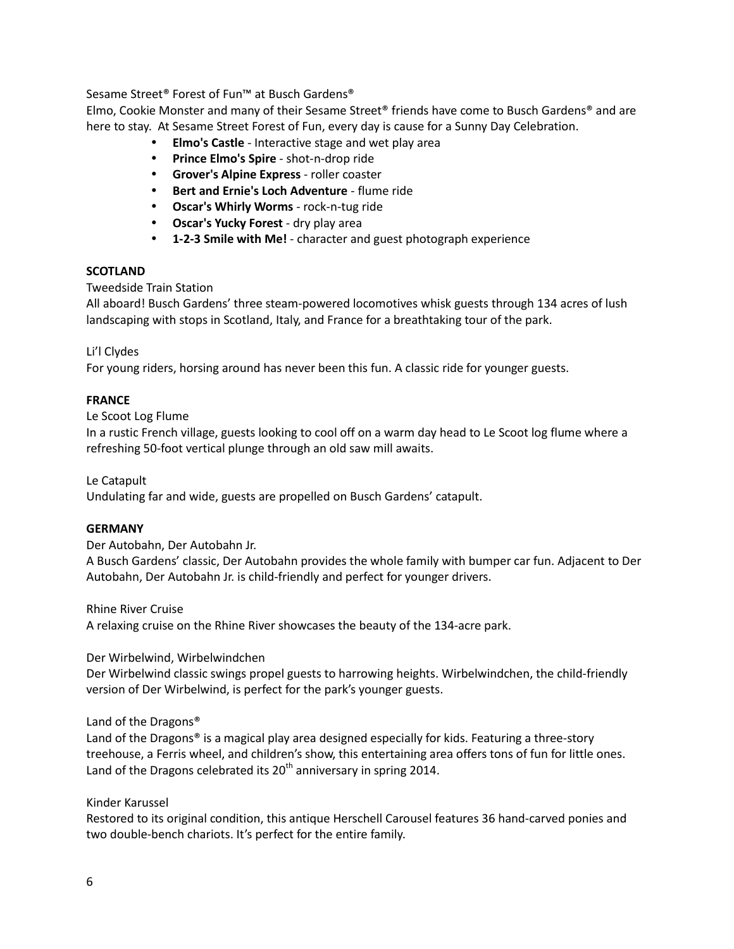Sesame Street® Forest of Fun™ at Busch Gardens®

Elmo, Cookie Monster and many of their Sesame Street® friends have come to Busch Gardens® and are here to stay. At Sesame Street Forest of Fun, every day is cause for a Sunny Day Celebration.

- **Elmo's Castle**  Interactive stage and wet play area
- **Prince Elmo's Spire** shot-n-drop ride
- **Grover's Alpine Express** roller coaster
- **Bert and Ernie's Loch Adventure** flume ride
- **Oscar's Whirly Worms** rock-n-tug ride
- **Oscar's Yucky Forest** dry play area
- **1-2-3 Smile with Me!** character and guest photograph experience

## **SCOTLAND**

Tweedside Train Station

All aboard! Busch Gardens' three steam-powered locomotives whisk guests through 134 acres of lush landscaping with stops in Scotland, Italy, and France for a breathtaking tour of the park.

## Li'l Clydes

For young riders, horsing around has never been this fun. A classic ride for younger guests.

### **FRANCE**

Le Scoot Log Flume

In a rustic French village, guests looking to cool off on a warm day head to Le Scoot log flume where a refreshing 50-foot vertical plunge through an old saw mill awaits.

Le Catapult

Undulating far and wide, guests are propelled on Busch Gardens' catapult.

## **GERMANY**

Der Autobahn, Der Autobahn Jr.

A Busch Gardens' classic, Der Autobahn provides the whole family with bumper car fun. Adjacent to Der Autobahn, Der Autobahn Jr. is child-friendly and perfect for younger drivers.

Rhine River Cruise

A relaxing cruise on the Rhine River showcases the beauty of the 134-acre park.

Der Wirbelwind, Wirbelwindchen

Der Wirbelwind classic swings propel guests to harrowing heights. Wirbelwindchen, the child-friendly version of Der Wirbelwind, is perfect for the park's younger guests.

Land of the Dragons®

Land of the Dragons® is a magical play area designed especially for kids. Featuring a three-story treehouse, a Ferris wheel, and children's show, this entertaining area offers tons of fun for little ones. Land of the Dragons celebrated its  $20<sup>th</sup>$  anniversary in spring 2014.

#### Kinder Karussel

Restored to its original condition, this antique Herschell Carousel features 36 hand-carved ponies and two double-bench chariots. It's perfect for the entire family.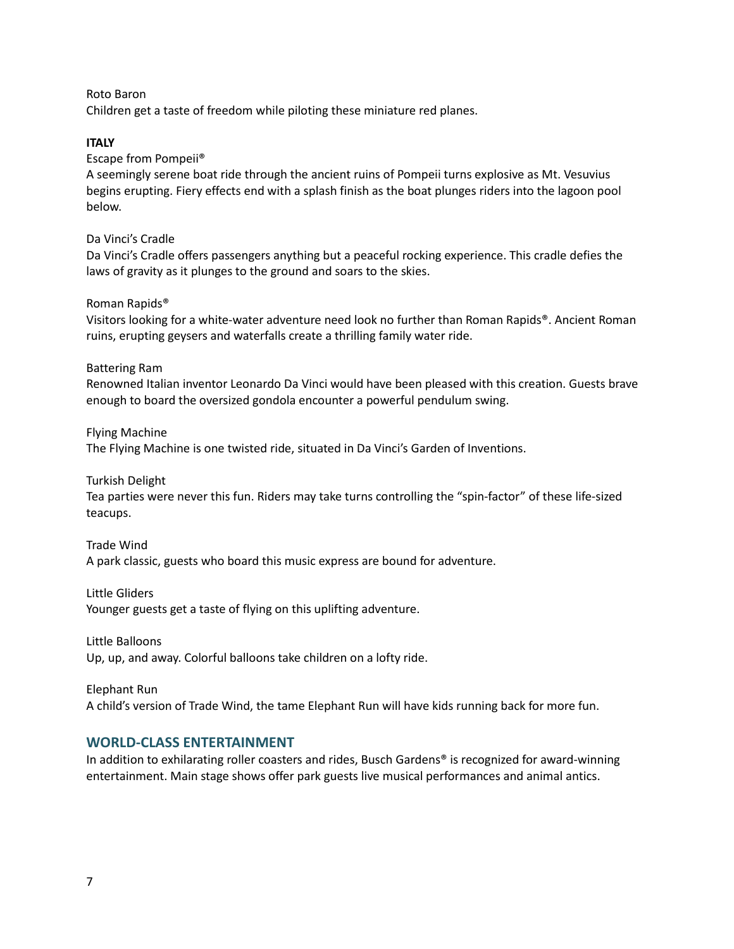Roto Baron

Children get a taste of freedom while piloting these miniature red planes.

### **ITALY**

Escape from Pompeii®

A seemingly serene boat ride through the ancient ruins of Pompeii turns explosive as Mt. Vesuvius begins erupting. Fiery effects end with a splash finish as the boat plunges riders into the lagoon pool below.

Da Vinci's Cradle

Da Vinci's Cradle offers passengers anything but a peaceful rocking experience. This cradle defies the laws of gravity as it plunges to the ground and soars to the skies.

Roman Rapids®

Visitors looking for a white-water adventure need look no further than Roman Rapids®. Ancient Roman ruins, erupting geysers and waterfalls create a thrilling family water ride.

Battering Ram

Renowned Italian inventor Leonardo Da Vinci would have been pleased with this creation. Guests brave enough to board the oversized gondola encounter a powerful pendulum swing.

Flying Machine The Flying Machine is one twisted ride, situated in Da Vinci's Garden of Inventions.

Turkish Delight

Tea parties were never this fun. Riders may take turns controlling the "spin-factor" of these life-sized teacups.

Trade Wind A park classic, guests who board this music express are bound for adventure.

Little Gliders Younger guests get a taste of flying on this uplifting adventure.

Little Balloons Up, up, and away. Colorful balloons take children on a lofty ride.

Elephant Run A child's version of Trade Wind, the tame Elephant Run will have kids running back for more fun.

## <span id="page-6-0"></span>**WORLD-CLASS ENTERTAINMENT**

In addition to exhilarating roller coasters and rides, Busch Gardens® is recognized for award-winning entertainment. Main stage shows offer park guests live musical performances and animal antics.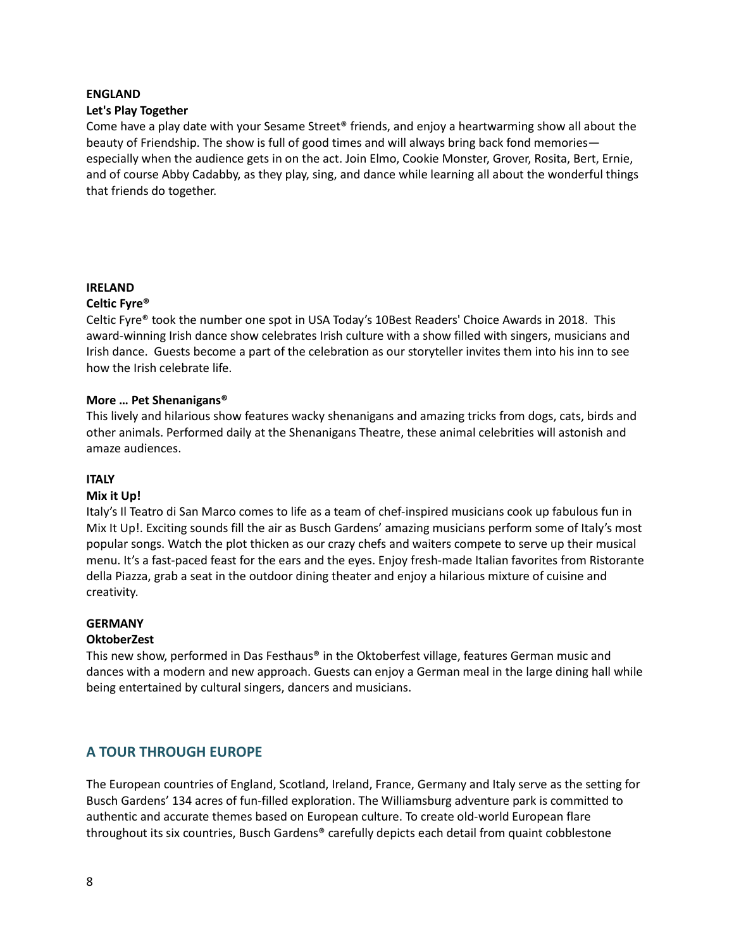#### **ENGLAND**

### **Let's Play Together**

Come have a play date with your Sesame Street® friends, and enjoy a heartwarming show all about the beauty of Friendship. The show is full of good times and will always bring back fond memories especially when the audience gets in on the act. Join Elmo, Cookie Monster, Grover, Rosita, Bert, Ernie, and of course Abby Cadabby, as they play, sing, and dance while learning all about the wonderful things that friends do together.

## **IRELAND**

### **Celtic Fyre®**

Celtic Fyre® took the number one spot in USA Today's 10Best Readers' Choice Awards in 2018. This award-winning Irish dance show celebrates Irish culture with a show filled with singers, musicians and Irish dance. Guests become a part of the celebration as our storyteller invites them into his inn to see how the Irish celebrate life.

### **More … Pet Shenanigans®**

This lively and hilarious show features wacky shenanigans and amazing tricks from dogs, cats, birds and other animals. Performed daily at the Shenanigans Theatre, these animal celebrities will astonish and amaze audiences.

## **ITALY**

#### **Mix it Up!**

Italy's Il Teatro di San Marco comes to life as a team of chef-inspired musicians cook up fabulous fun in Mix It Up!. Exciting sounds fill the air as Busch Gardens' amazing musicians perform some of Italy's most popular songs. Watch the plot thicken as our crazy chefs and waiters compete to serve up their musical menu. It's a fast-paced feast for the ears and the eyes. Enjoy fresh-made Italian favorites from Ristorante della Piazza, grab a seat in the outdoor dining theater and enjoy a hilarious mixture of cuisine and creativity.

#### **GERMANY**

## **OktoberZest**

This new show, performed in Das Festhaus® in the Oktoberfest village, features German music and dances with a modern and new approach. Guests can enjoy a German meal in the large dining hall while being entertained by cultural singers, dancers and musicians.

## <span id="page-7-0"></span>**A TOUR THROUGH EUROPE**

The European countries of England, Scotland, Ireland, France, Germany and Italy serve as the setting for Busch Gardens' 134 acres of fun-filled exploration. The Williamsburg adventure park is committed to authentic and accurate themes based on European culture. To create old-world European flare throughout its six countries, Busch Gardens® carefully depicts each detail from quaint cobblestone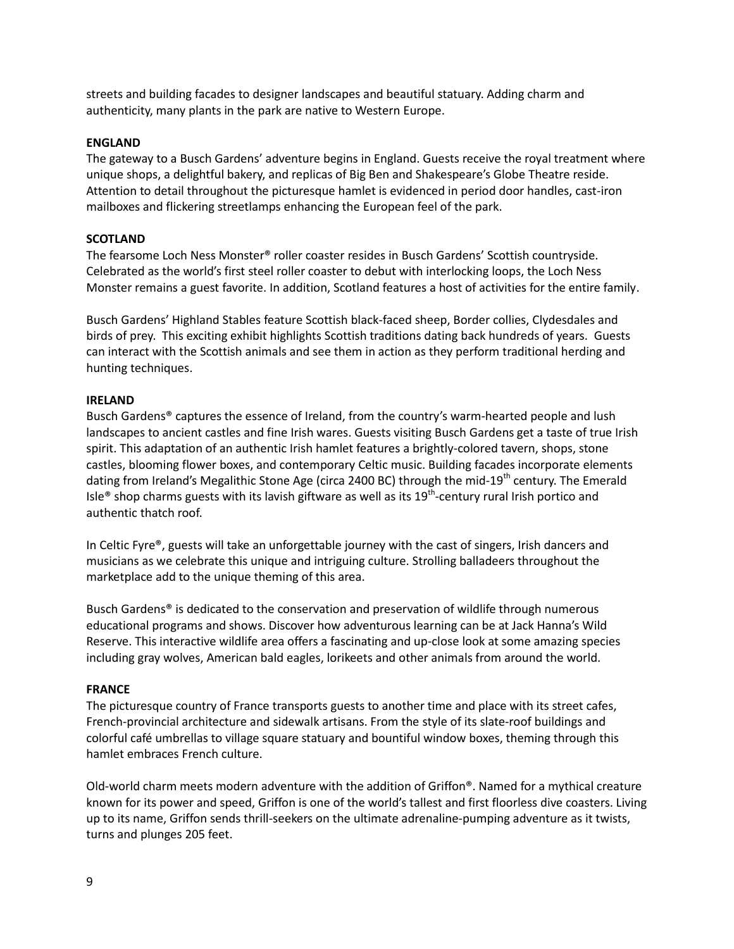streets and building facades to designer landscapes and beautiful statuary. Adding charm and authenticity, many plants in the park are native to Western Europe.

### **ENGLAND**

The gateway to a Busch Gardens' adventure begins in England. Guests receive the royal treatment where unique shops, a delightful bakery, and replicas of Big Ben and Shakespeare's Globe Theatre reside. Attention to detail throughout the picturesque hamlet is evidenced in period door handles, cast-iron mailboxes and flickering streetlamps enhancing the European feel of the park.

### **SCOTLAND**

The fearsome Loch Ness Monster® roller coaster resides in Busch Gardens' Scottish countryside. Celebrated as the world's first steel roller coaster to debut with interlocking loops, the Loch Ness Monster remains a guest favorite. In addition, Scotland features a host of activities for the entire family.

Busch Gardens' Highland Stables feature Scottish black-faced sheep, Border collies, Clydesdales and birds of prey. This exciting exhibit highlights Scottish traditions dating back hundreds of years. Guests can interact with the Scottish animals and see them in action as they perform traditional herding and hunting techniques.

#### **IRELAND**

Busch Gardens® captures the essence of Ireland, from the country's warm-hearted people and lush landscapes to ancient castles and fine Irish wares. Guests visiting Busch Gardens get a taste of true Irish spirit. This adaptation of an authentic Irish hamlet features a brightly-colored tavern, shops, stone castles, blooming flower boxes, and contemporary Celtic music. Building facades incorporate elements dating from Ireland's Megalithic Stone Age (circa 2400 BC) through the mid-19<sup>th</sup> century. The Emerald Isle® shop charms guests with its lavish giftware as well as its 19<sup>th</sup>-century rural Irish portico and authentic thatch roof.

In Celtic Fyre®, guests will take an unforgettable journey with the cast of singers, Irish dancers and musicians as we celebrate this unique and intriguing culture. Strolling balladeers throughout the marketplace add to the unique theming of this area.

Busch Gardens® is dedicated to the conservation and preservation of wildlife through numerous educational programs and shows. Discover how adventurous learning can be at Jack Hanna's Wild Reserve. This interactive wildlife area offers a fascinating and up-close look at some amazing species including gray wolves, American bald eagles, lorikeets and other animals from around the world.

#### **FRANCE**

The picturesque country of France transports guests to another time and place with its street cafes, French-provincial architecture and sidewalk artisans. From the style of its slate-roof buildings and colorful café umbrellas to village square statuary and bountiful window boxes, theming through this hamlet embraces French culture.

Old-world charm meets modern adventure with the addition of Griffon®. Named for a mythical creature known for its power and speed, Griffon is one of the world's tallest and first floorless dive coasters. Living up to its name, Griffon sends thrill-seekers on the ultimate adrenaline-pumping adventure as it twists, turns and plunges 205 feet.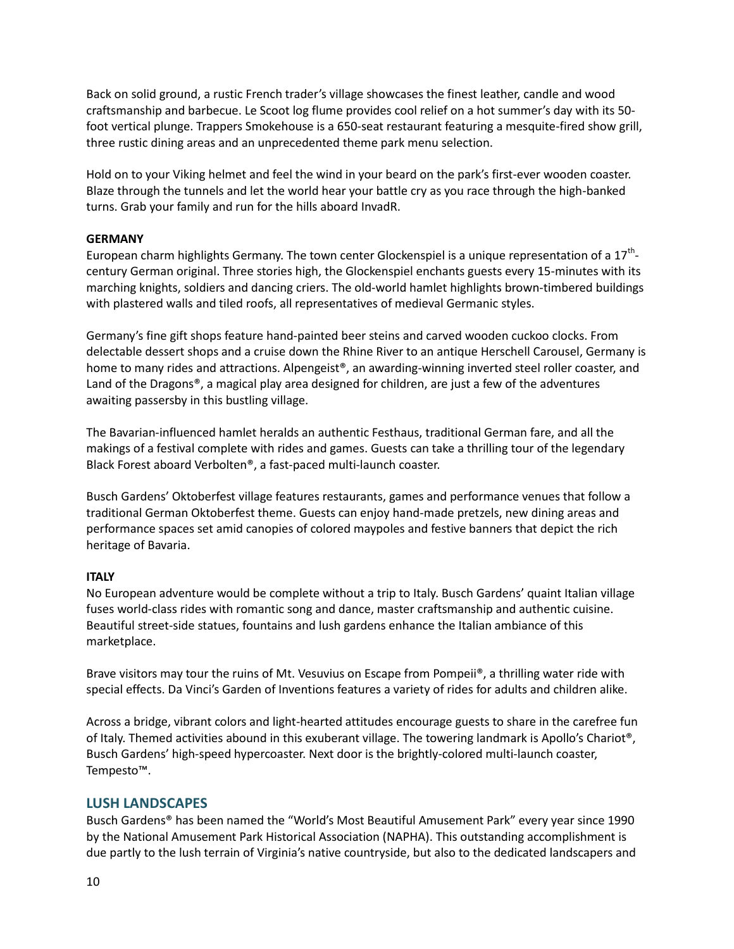Back on solid ground, a rustic French trader's village showcases the finest leather, candle and wood craftsmanship and barbecue. Le Scoot log flume provides cool relief on a hot summer's day with its 50 foot vertical plunge. Trappers Smokehouse is a 650-seat restaurant featuring a mesquite-fired show grill, three rustic dining areas and an unprecedented theme park menu selection.

Hold on to your Viking helmet and feel the wind in your beard on the park's first-ever wooden coaster. Blaze through the tunnels and let the world hear your battle cry as you race through the high-banked turns. Grab your family and run for the hills aboard InvadR.

## **GERMANY**

European charm highlights Germany. The town center Glockenspiel is a unique representation of a 17<sup>th</sup>century German original. Three stories high, the Glockenspiel enchants guests every 15-minutes with its marching knights, soldiers and dancing criers. The old-world hamlet highlights brown-timbered buildings with plastered walls and tiled roofs, all representatives of medieval Germanic styles.

Germany's fine gift shops feature hand-painted beer steins and carved wooden cuckoo clocks. From delectable dessert shops and a cruise down the Rhine River to an antique Herschell Carousel, Germany is home to many rides and attractions. Alpengeist®, an awarding-winning inverted steel roller coaster, and Land of the Dragons®, a magical play area designed for children, are just a few of the adventures awaiting passersby in this bustling village.

The Bavarian-influenced hamlet heralds an authentic Festhaus, traditional German fare, and all the makings of a festival complete with rides and games. Guests can take a thrilling tour of the legendary Black Forest aboard Verbolten®, a fast-paced multi-launch coaster.

Busch Gardens' Oktoberfest village features restaurants, games and performance venues that follow a traditional German Oktoberfest theme. Guests can enjoy hand-made pretzels, new dining areas and performance spaces set amid canopies of colored maypoles and festive banners that depict the rich heritage of Bavaria.

## **ITALY**

No European adventure would be complete without a trip to Italy. Busch Gardens' quaint Italian village fuses world-class rides with romantic song and dance, master craftsmanship and authentic cuisine. Beautiful street-side statues, fountains and lush gardens enhance the Italian ambiance of this marketplace.

Brave visitors may tour the ruins of Mt. Vesuvius on Escape from Pompeii®, a thrilling water ride with special effects. Da Vinci's Garden of Inventions features a variety of rides for adults and children alike.

Across a bridge, vibrant colors and light-hearted attitudes encourage guests to share in the carefree fun of Italy. Themed activities abound in this exuberant village. The towering landmark is Apollo's Chariot®, Busch Gardens' high-speed hypercoaster. Next door is the brightly-colored multi-launch coaster, Tempesto™.

## <span id="page-9-0"></span>**LUSH LANDSCAPES**

Busch Gardens® has been named the "World's Most Beautiful Amusement Park" every year since 1990 by the National Amusement Park Historical Association (NAPHA). This outstanding accomplishment is due partly to the lush terrain of Virginia's native countryside, but also to the dedicated landscapers and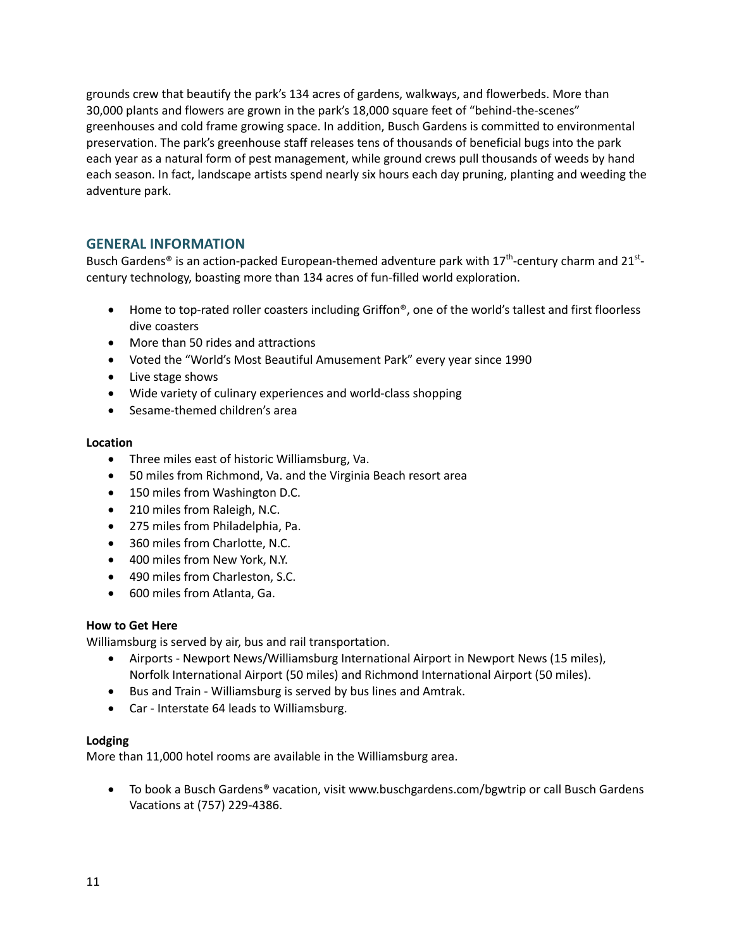grounds crew that beautify the park's 134 acres of gardens, walkways, and flowerbeds. More than 30,000 plants and flowers are grown in the park's 18,000 square feet of "behind-the-scenes" greenhouses and cold frame growing space. In addition, Busch Gardens is committed to environmental preservation. The park's greenhouse staff releases tens of thousands of beneficial bugs into the park each year as a natural form of pest management, while ground crews pull thousands of weeds by hand each season. In fact, landscape artists spend nearly six hours each day pruning, planting and weeding the adventure park.

## <span id="page-10-0"></span>**GENERAL INFORMATION**

Busch Gardens® is an action-packed European-themed adventure park with  $17^{th}$ -century charm and 21<sup>st</sup>century technology, boasting more than 134 acres of fun-filled world exploration.

- Home to top-rated roller coasters including Griffon<sup>®</sup>, one of the world's tallest and first floorless dive coasters
- More than 50 rides and attractions
- Voted the "World's Most Beautiful Amusement Park" every year since 1990
- Live stage shows
- Wide variety of culinary experiences and world-class shopping
- Sesame-themed children's area

### **Location**

- Three miles east of historic Williamsburg, Va.
- 50 miles from Richmond, Va. and the Virginia Beach resort area
- 150 miles from Washington D.C.
- 210 miles from Raleigh, N.C.
- 275 miles from Philadelphia, Pa.
- 360 miles from Charlotte, N.C.
- 400 miles from New York, N.Y.
- 490 miles from Charleston, S.C.
- 600 miles from Atlanta, Ga.

## **How to Get Here**

Williamsburg is served by air, bus and rail transportation.

- Airports Newport News/Williamsburg International Airport in Newport News (15 miles), Norfolk International Airport (50 miles) and Richmond International Airport (50 miles).
- Bus and Train Williamsburg is served by bus lines and Amtrak.
- Car Interstate 64 leads to Williamsburg.

#### **Lodging**

More than 11,000 hotel rooms are available in the Williamsburg area.

● To book a Busch Gardens® vacation, visit www.buschgardens.com/bgwtrip or call Busch Gardens Vacations at (757) 229-4386.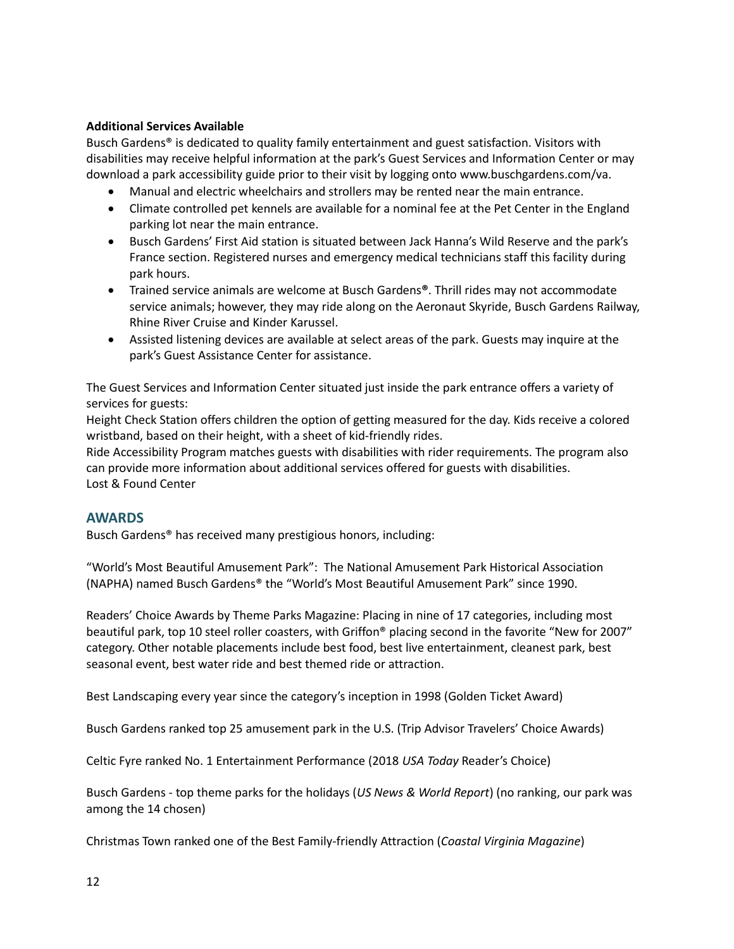## **Additional Services Available**

Busch Gardens® is dedicated to quality family entertainment and guest satisfaction. Visitors with disabilities may receive helpful information at the park's Guest Services and Information Center or may download a park accessibility guide prior to their visit by logging onto www.buschgardens.com/va.

- Manual and electric wheelchairs and strollers may be rented near the main entrance.
- Climate controlled pet kennels are available for a nominal fee at the Pet Center in the England parking lot near the main entrance.
- Busch Gardens' First Aid station is situated between Jack Hanna's Wild Reserve and the park's France section. Registered nurses and emergency medical technicians staff this facility during park hours.
- Trained service animals are welcome at Busch Gardens**®**. Thrill rides may not accommodate service animals; however, they may ride along on the Aeronaut Skyride, Busch Gardens Railway, Rhine River Cruise and Kinder Karussel.
- Assisted listening devices are available at select areas of the park. Guests may inquire at the park's Guest Assistance Center for assistance.

The Guest Services and Information Center situated just inside the park entrance offers a variety of services for guests:

Height Check Station offers children the option of getting measured for the day. Kids receive a colored wristband, based on their height, with a sheet of kid-friendly rides.

Ride Accessibility Program matches guests with disabilities with rider requirements. The program also can provide more information about additional services offered for guests with disabilities. Lost & Found Center

## <span id="page-11-0"></span>**AWARDS**

Busch Gardens® has received many prestigious honors, including:

"World's Most Beautiful Amusement Park": The National Amusement Park Historical Association (NAPHA) named Busch Gardens® the "World's Most Beautiful Amusement Park" since 1990.

Readers' Choice Awards by Theme Parks Magazine: Placing in nine of 17 categories, including most beautiful park, top 10 steel roller coasters, with Griffon® placing second in the favorite "New for 2007" category. Other notable placements include best food, best live entertainment, cleanest park, best seasonal event, best water ride and best themed ride or attraction.

Best Landscaping every year since the category's inception in 1998 (Golden Ticket Award)

Busch Gardens ranked top 25 amusement park in the U.S. (Trip Advisor Travelers' Choice Awards)

Celtic Fyre ranked No. 1 Entertainment Performance (2018 *USA Today* Reader's Choice)

Busch Gardens - top theme parks for the holidays (*US News & World Report*) (no ranking, our park was among the 14 chosen)

Christmas Town ranked one of the Best Family-friendly Attraction (*Coastal Virginia Magazine*)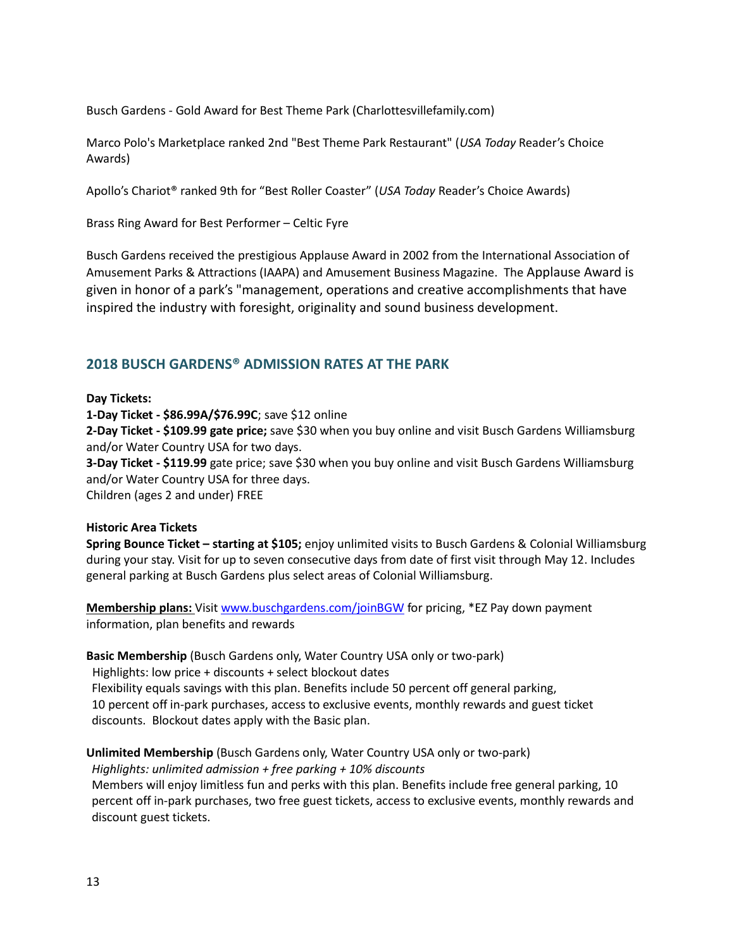Busch Gardens - Gold Award for Best Theme Park (Charlottesvillefamily.com)

Marco Polo's Marketplace ranked 2nd "Best Theme Park Restaurant" (*USA Today* Reader's Choice Awards)

Apollo's Chariot® ranked 9th for "Best Roller Coaster" (*USA Today* Reader's Choice Awards)

Brass Ring Award for Best Performer – Celtic Fyre

Busch Gardens received the prestigious Applause Award in 2002 from the International Association of Amusement Parks & Attractions (IAAPA) and Amusement Business Magazine. The Applause Award is given in honor of a park's "management, operations and creative accomplishments that have inspired the industry with foresight, originality and sound business development.

## <span id="page-12-0"></span>**2018 BUSCH GARDENS® ADMISSION RATES AT THE PARK**

## **Day Tickets:**

**1-Day Ticket - \$86.99A/\$76.99C**; save \$12 online

**2-Day Ticket - \$109.99 gate price;** save \$30 when you buy online and visit Busch Gardens Williamsburg and/or Water Country USA for two days.

**3-Day Ticket - \$119.99** gate price; save \$30 when you buy online and visit Busch Gardens Williamsburg and/or Water Country USA for three days.

Children (ages 2 and under) FREE

## **Historic Area Tickets**

**Spring Bounce Ticket – starting at \$105;** enjoy unlimited visits to Busch Gardens & Colonial Williamsburg during your stay. Visit for up to seven consecutive days from date of first visit through May 12. Includes general parking at Busch Gardens plus select areas of Colonial Williamsburg.

**Membership plans:** Visit [www.buschgardens.com/joinBGW](http://www.buschgardens.com/joinBGW) for pricing, \*EZ Pay down payment information, plan benefits and rewards

**Basic Membership** (Busch Gardens only, Water Country USA only or two-park) Highlights: low price + discounts + select blockout dates Flexibility equals savings with this plan. Benefits include 50 percent off general parking, 10 percent off in-park purchases, access to exclusive events, monthly rewards and guest ticket discounts. Blockout dates apply with the Basic plan.

**Unlimited Membership** (Busch Gardens only, Water Country USA only or two-park)

*Highlights: unlimited admission + free parking + 10% discounts* Members will enjoy limitless fun and perks with this plan. Benefits include free general parking, 10 percent off in-park purchases, two free guest tickets, access to exclusive events, monthly rewards and discount guest tickets.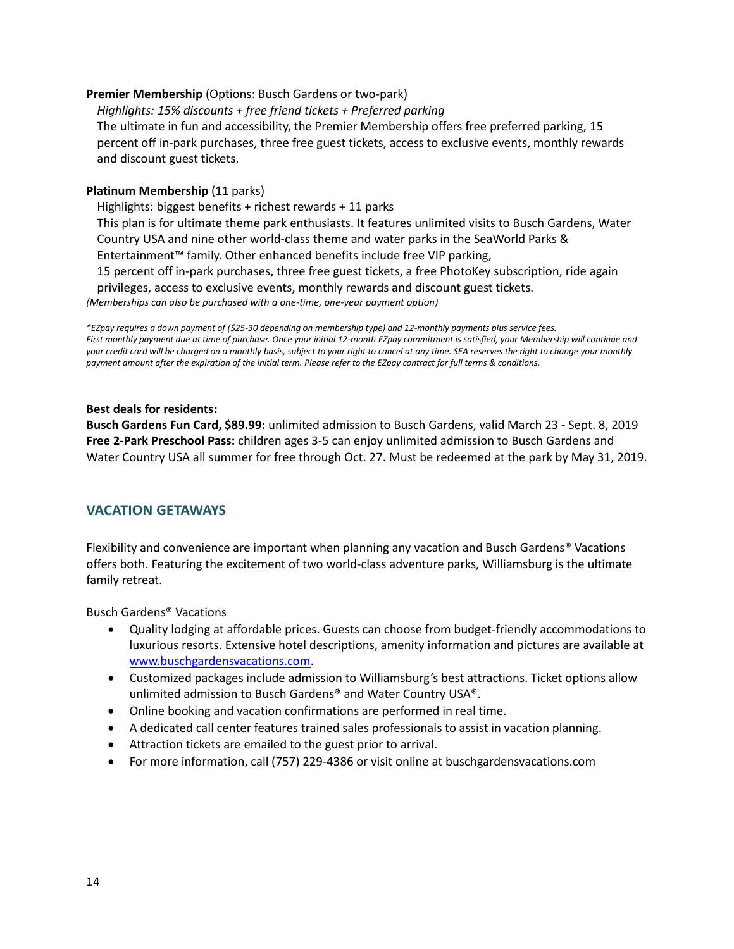### **Premier Membership** (Options: Busch Gardens or two-park)

*Highlights: 15% discounts + free friend tickets + Preferred parking* The ultimate in fun and accessibility, the Premier Membership offers free preferred parking, 15 percent off in-park purchases, three free guest tickets, access to exclusive events, monthly rewards and discount guest tickets.

### **Platinum Membership** (11 parks)

Highlights: biggest benefits + richest rewards + 11 parks

This plan is for ultimate theme park enthusiasts. It features unlimited visits to Busch Gardens, Water Country USA and nine other world-class theme and water parks in the SeaWorld Parks &

Entertainment™ family. Other enhanced benefits include free VIP parking,

15 percent off in-park purchases, three free guest tickets, a free PhotoKey subscription, ride again

privileges, access to exclusive events, monthly rewards and discount guest tickets.

*(Memberships can also be purchased with a one-time, one-year payment option)*

*\*EZpay requires a down payment of (\$25-30 depending on membership type) and 12-monthly payments plus service fees. First monthly payment due at time of purchase. Once your initial 12-month EZpay commitment is satisfied, your Membership will continue and*  your credit card will be charged on a monthly basis, subject to your right to cancel at any time. SEA reserves the right to change your monthly *payment amount after the expiration of the initial term. Please refer to the EZpay contract for full terms & conditions.*

### **Best deals for residents:**

**Busch Gardens Fun Card, \$89.99:** unlimited admission to Busch Gardens, valid March 23 - Sept. 8, 2019 **Free 2-Park Preschool Pass:** children ages 3-5 can enjoy unlimited admission to Busch Gardens and Water Country USA all summer for free through Oct. 27. Must be redeemed at the park by May 31, 2019.

## <span id="page-13-0"></span>**VACATION GETAWAYS**

Flexibility and convenience are important when planning any vacation and Busch Gardens® Vacations offers both. Featuring the excitement of two world-class adventure parks, Williamsburg is the ultimate family retreat.

Busch Gardens® Vacations

- Quality lodging at affordable prices. Guests can choose from budget-friendly accommodations to luxurious resorts. Extensive hotel descriptions, amenity information and pictures are available at [www.buschgardensvacations.com.](http://www.buschgardensvacations.com/)
- Customized packages include admission to Williamsburg's best attractions. Ticket options allow unlimited admission to Busch Gardens® and Water Country USA®.
- Online booking and vacation confirmations are performed in real time.
- A dedicated call center features trained sales professionals to assist in vacation planning.
- Attraction tickets are emailed to the guest prior to arrival.
- For more information, call (757) 229-4386 or visit online at buschgardensvacations.com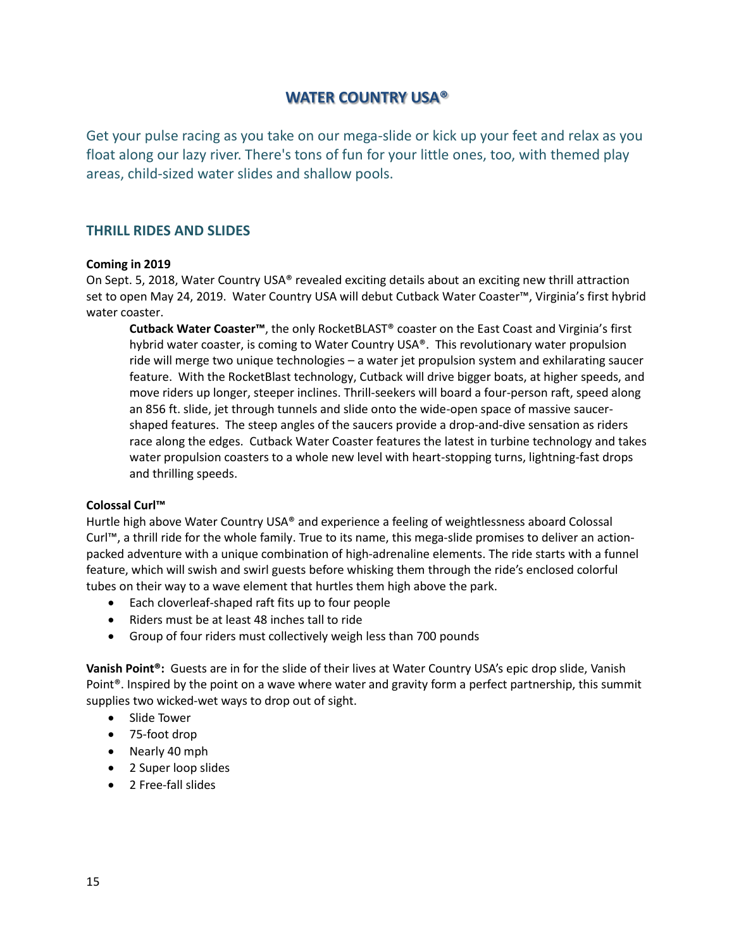## **WATER COUNTRY USA®**

<span id="page-14-1"></span><span id="page-14-0"></span>Get your pulse racing as you take on our mega-slide or kick up your feet and relax as you float along our lazy river. There's tons of fun for your little ones, too, with themed play areas, child-sized water slides and shallow pools.

## **THRILL RIDES AND SLIDES**

### **Coming in 2019**

On Sept. 5, 2018, Water Country USA® revealed exciting details about an exciting new thrill attraction set to open May 24, 2019. Water Country USA will debut Cutback Water Coaster™, Virginia's first hybrid water coaster.

**Cutback Water Coaster™**, the only RocketBLAST® coaster on the East Coast and Virginia's first hybrid water coaster, is coming to Water Country USA®. This revolutionary water propulsion ride will merge two unique technologies – a water jet propulsion system and exhilarating saucer feature. With the RocketBlast technology, Cutback will drive bigger boats, at higher speeds, and move riders up longer, steeper inclines. Thrill-seekers will board a four-person raft, speed along an 856 ft. slide, jet through tunnels and slide onto the wide-open space of massive saucershaped features. The steep angles of the saucers provide a drop-and-dive sensation as riders race along the edges. Cutback Water Coaster features the latest in turbine technology and takes water propulsion coasters to a whole new level with heart-stopping turns, lightning-fast drops and thrilling speeds.

#### **Colossal Curl™**

Hurtle high above Water Country USA® and experience a feeling of weightlessness aboard Colossal Curl™, a thrill ride for the whole family. True to its name, this mega-slide promises to deliver an actionpacked adventure with a unique combination of high-adrenaline elements. The ride starts with a funnel feature, which will swish and swirl guests before whisking them through the ride's enclosed colorful tubes on their way to a wave element that hurtles them high above the park.

- Each cloverleaf-shaped raft fits up to four people
- Riders must be at least 48 inches tall to ride
- Group of four riders must collectively weigh less than 700 pounds

**Vanish Point®:** Guests are in for the slide of their lives at Water Country USA's epic drop slide, Vanish Point®. Inspired by the point on a wave where water and gravity form a perfect partnership, this summit supplies two wicked-wet ways to drop out of sight.

- Slide Tower
- 75-foot drop
- Nearly 40 mph
- 2 Super loop slides
- 2 Free-fall slides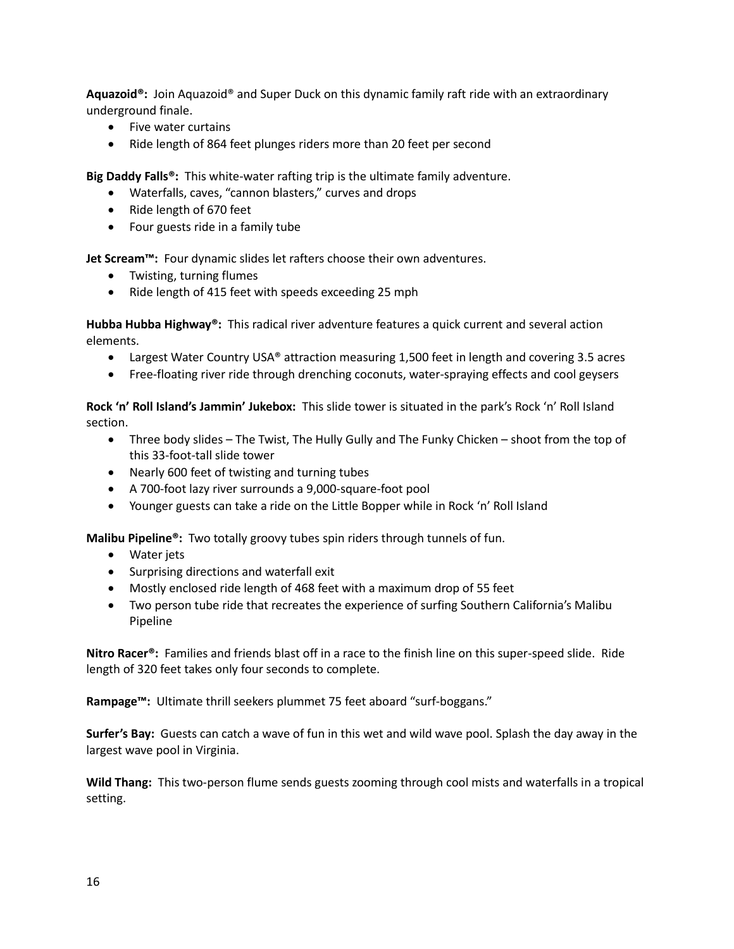**Aquazoid®:** Join Aquazoid® and Super Duck on this dynamic family raft ride with an extraordinary underground finale.

- Five water curtains
- Ride length of 864 feet plunges riders more than 20 feet per second

**Big Daddy Falls®:** This white-water rafting trip is the ultimate family adventure.

- Waterfalls, caves, "cannon blasters," curves and drops
- Ride length of 670 feet
- Four guests ride in a family tube

**Jet Scream™:** Four dynamic slides let rafters choose their own adventures.

- Twisting, turning flumes
- Ride length of 415 feet with speeds exceeding 25 mph

**Hubba Hubba Highway®:** This radical river adventure features a quick current and several action elements.

- Largest Water Country USA<sup>®</sup> attraction measuring 1,500 feet in length and covering 3.5 acres
- Free-floating river ride through drenching coconuts, water-spraying effects and cool geysers

**Rock 'n' Roll Island's Jammin' Jukebox:** This slide tower is situated in the park's Rock 'n' Roll Island section.

- Three body slides The Twist, The Hully Gully and The Funky Chicken shoot from the top of this 33-foot-tall slide tower
- Nearly 600 feet of twisting and turning tubes
- A 700-foot lazy river surrounds a 9,000-square-foot pool
- Younger guests can take a ride on the Little Bopper while in Rock 'n' Roll Island

**Malibu Pipeline®:** Two totally groovy tubes spin riders through tunnels of fun.

- Water jets
- Surprising directions and waterfall exit
- Mostly enclosed ride length of 468 feet with a maximum drop of 55 feet
- Two person tube ride that recreates the experience of surfing Southern California's Malibu Pipeline

**Nitro Racer®:** Families and friends blast off in a race to the finish line on this super-speed slide. Ride length of 320 feet takes only four seconds to complete.

**Rampage™:** Ultimate thrill seekers plummet 75 feet aboard "surf-boggans."

**Surfer's Bay:** Guests can catch a wave of fun in this wet and wild wave pool. Splash the day away in the largest wave pool in Virginia.

<span id="page-15-0"></span>**Wild Thang:** This two-person flume sends guests zooming through cool mists and waterfalls in a tropical setting.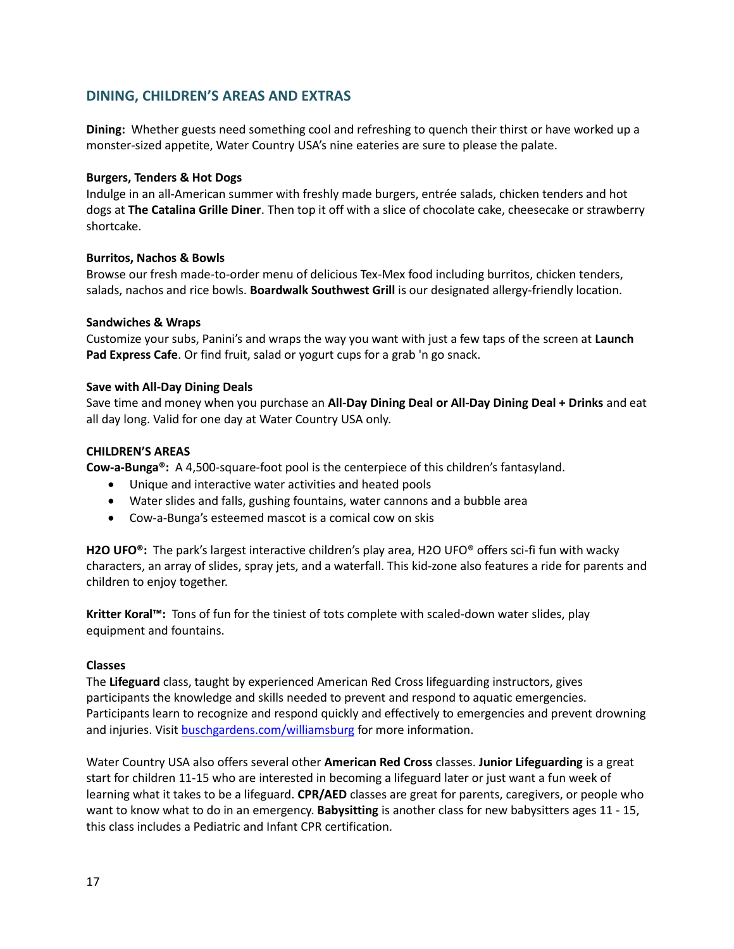## **DINING, CHILDREN'S AREAS AND EXTRAS**

**Dining:** Whether guests need something cool and refreshing to quench their thirst or have worked up a monster-sized appetite, Water Country USA's nine eateries are sure to please the palate.

#### **Burgers, Tenders & Hot Dogs**

Indulge in an all-American summer with freshly made burgers, entrée salads, chicken tenders and hot dogs at **The Catalina Grille Diner**. Then top it off with a slice of chocolate cake, cheesecake or strawberry shortcake.

### **Burritos, Nachos & Bowls**

Browse our fresh made-to-order menu of delicious Tex-Mex food including burritos, chicken tenders, salads, nachos and rice bowls. **Boardwalk Southwest Grill** is our designated allergy-friendly location.

### **Sandwiches & Wraps**

Customize your subs, Panini's and wraps the way you want with just a few taps of the screen at **Launch Pad Express Cafe**. Or find fruit, salad or yogurt cups for a grab 'n go snack.

### **Save with All-Day Dining Deals**

Save time and money when you purchase an **All-Day Dining Deal or All-Day Dining Deal + Drinks** and eat all day long. Valid for one day at Water Country USA only.

### **CHILDREN'S AREAS**

**Cow-a-Bunga®:** A 4,500-square-foot pool is the centerpiece of this children's fantasyland.

- Unique and interactive water activities and heated pools
- Water slides and falls, gushing fountains, water cannons and a bubble area
- Cow-a-Bunga's esteemed mascot is a comical cow on skis

**H2O UFO®:** The park's largest interactive children's play area, H2O UFO® offers sci-fi fun with wacky characters, an array of slides, spray jets, and a waterfall. This kid-zone also features a ride for parents and children to enjoy together.

**Kritter Koral™:** Tons of fun for the tiniest of tots complete with scaled-down water slides, play equipment and fountains.

#### **Classes**

The **Lifeguard** class, taught by experienced American Red Cross lifeguarding instructors, gives participants the knowledge and skills needed to prevent and respond to aquatic emergencies. Participants learn to recognize and respond quickly and effectively to emergencies and prevent drowning and injuries. Visit [buschgardens.com/williamsburg](http://www.watercountryusa.com/) for more information.

Water Country USA also offers several other **American Red Cross** classes. **Junior Lifeguarding** is a great start for children 11-15 who are interested in becoming a lifeguard later or just want a fun week of learning what it takes to be a lifeguard. **CPR/AED** classes are great for parents, caregivers, or people who want to know what to do in an emergency. **Babysitting** is another class for new babysitters ages 11 - 15, this class includes a Pediatric and Infant CPR certification.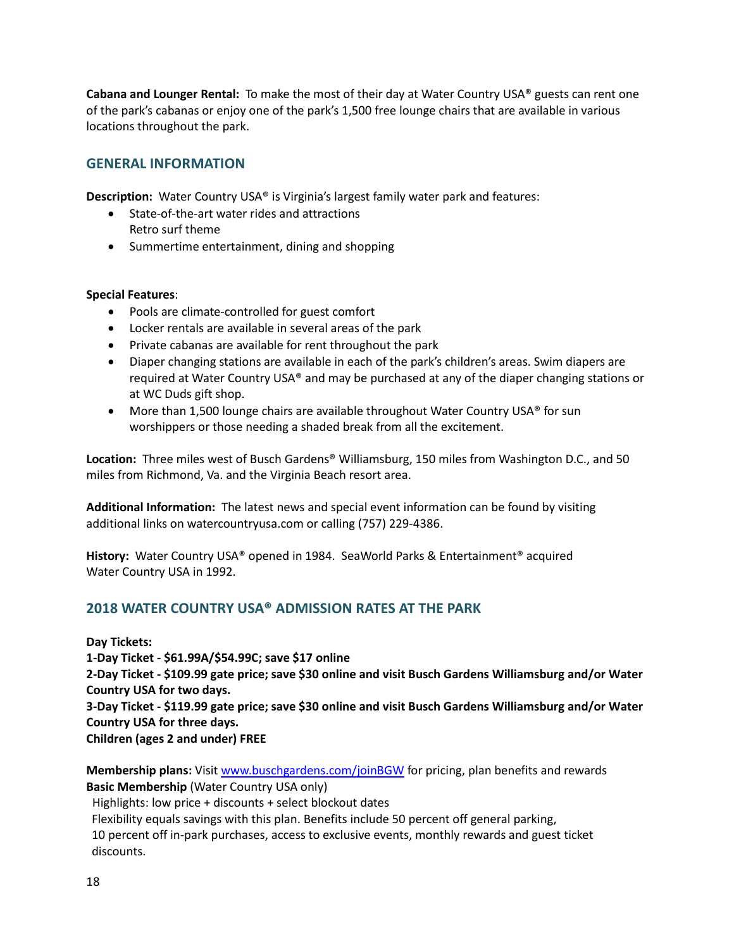**Cabana and Lounger Rental:** To make the most of their day at Water Country USA® guests can rent one of the park's cabanas or enjoy one of the park's 1,500 free lounge chairs that are available in various locations throughout the park.

## <span id="page-17-0"></span>**GENERAL INFORMATION**

**Description:** Water Country USA® is Virginia's largest family water park and features:

- State-of-the-art water rides and attractions Retro surf theme
- Summertime entertainment, dining and shopping

## **Special Features**:

- Pools are climate-controlled for guest comfort
- Locker rentals are available in several areas of the park
- Private cabanas are available for rent throughout the park
- Diaper changing stations are available in each of the park's children's areas. Swim diapers are required at Water Country USA® and may be purchased at any of the diaper changing stations or at WC Duds gift shop.
- More than 1,500 lounge chairs are available throughout Water Country USA<sup>®</sup> for sun worshippers or those needing a shaded break from all the excitement.

**Location:** Three miles west of Busch Gardens® Williamsburg, 150 miles from Washington D.C., and 50 miles from Richmond, Va. and the Virginia Beach resort area.

**Additional Information:** The latest news and special event information can be found by visiting additional links on watercountryusa.com or calling (757) 229-4386.

**History:** Water Country USA® opened in 1984. SeaWorld Parks & Entertainment® acquired Water Country USA in 1992.

## <span id="page-17-1"></span>**2018 WATER COUNTRY USA® ADMISSION RATES AT THE PARK**

**Day Tickets:**

**1-Day Ticket - \$61.99A/\$54.99C; save \$17 online**

**2-Day Ticket - \$109.99 gate price; save \$30 online and visit Busch Gardens Williamsburg and/or Water Country USA for two days.**

**3-Day Ticket - \$119.99 gate price; save \$30 online and visit Busch Gardens Williamsburg and/or Water Country USA for three days.**

**Children (ages 2 and under) FREE**

**Membership plans:** Visit [www.buschgardens.com/joinBGW](http://www.buschgardens.com/joinBGW) for pricing, plan benefits and rewards **Basic Membership** (Water Country USA only)

Highlights: low price + discounts + select blockout dates

Flexibility equals savings with this plan. Benefits include 50 percent off general parking,

10 percent off in-park purchases, access to exclusive events, monthly rewards and guest ticket discounts.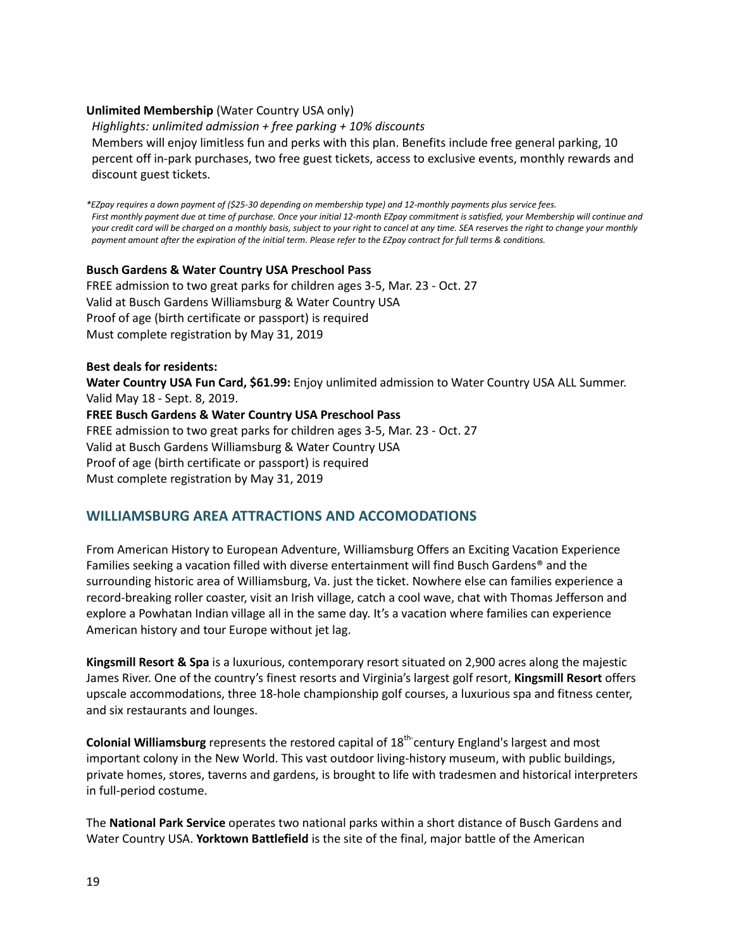### **Unlimited Membership** (Water Country USA only)

*Highlights: unlimited admission + free parking + 10% discounts* Members will enjoy limitless fun and perks with this plan. Benefits include free general parking, 10 percent off in-park purchases, two free guest tickets, access to exclusive events, monthly rewards and

*\*EZpay requires a down payment of (\$25-30 depending on membership type) and 12-monthly payments plus service fees. First monthly payment due at time of purchase. Once your initial 12-month EZpay commitment is satisfied, your Membership will continue and your credit card will be charged on a monthly basis, subject to your right to cancel at any time. SEA reserves the right to change your monthly payment amount after the expiration of the initial term. Please refer to the EZpay contract for full terms & conditions.*

#### **Busch Gardens & Water Country USA Preschool Pass**

FREE admission to two great parks for children ages 3-5, Mar. 23 - Oct. 27 Valid at Busch Gardens Williamsburg & Water Country USA Proof of age (birth certificate or passport) is required Must complete registration by May 31, 2019

#### **Best deals for residents:**

discount guest tickets.

**Water Country USA Fun Card, \$61.99:** Enjoy unlimited admission to Water Country USA ALL Summer. Valid May 18 - Sept. 8, 2019.

**FREE Busch Gardens & Water Country USA Preschool Pass**

FREE admission to two great parks for children ages 3-5, Mar. 23 - Oct. 27 Valid at Busch Gardens Williamsburg & Water Country USA Proof of age (birth certificate or passport) is required Must complete registration by May 31, 2019

## <span id="page-18-0"></span>**WILLIAMSBURG AREA ATTRACTIONS AND ACCOMODATIONS**

From American History to European Adventure, Williamsburg Offers an Exciting Vacation Experience Families seeking a vacation filled with diverse entertainment will find Busch Gardens® and the surrounding historic area of Williamsburg, Va. just the ticket. Nowhere else can families experience a record-breaking roller coaster, visit an Irish village, catch a cool wave, chat with Thomas Jefferson and explore a Powhatan Indian village all in the same day. It's a vacation where families can experience American history and tour Europe without jet lag.

**Kingsmill Resort & Spa** is a luxurious, contemporary resort situated on 2,900 acres along the majestic James River. One of the country's finest resorts and Virginia's largest golf resort, **Kingsmill Resort** offers upscale accommodations, three 18-hole championship golf courses, a luxurious spa and fitness center, and six restaurants and lounges.

Colonial Williamsburg represents the restored capital of 18<sup>th-</sup>century England's largest and most important colony in the New World. This vast outdoor living-history museum, with public buildings, private homes, stores, taverns and gardens, is brought to life with tradesmen and historical interpreters in full-period costume.

The **National Park Service** operates two national parks within a short distance of Busch Gardens and Water Country USA. **Yorktown Battlefield** is the site of the final, major battle of the American